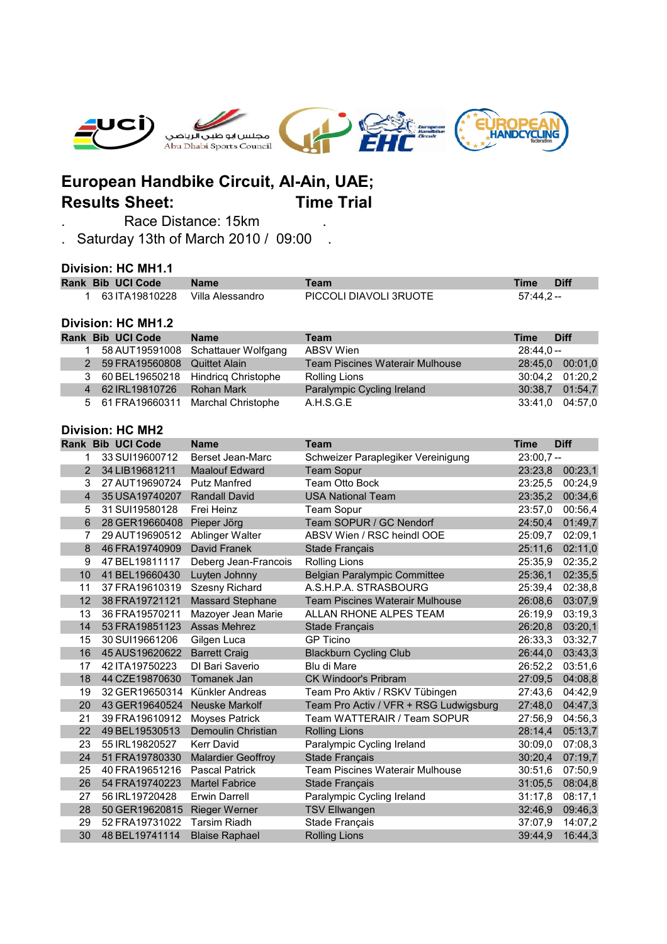

## **European Handbike Circuit, Al-Ain, UAE; Results Sheet: Time Trial**

. Race Distance: 15km .

. Saturday 13th of March 2010 / 09:00 .

## **Division: HC MH1.1**

|                         | <b>Rank Bib UCI Code</b>  | <b>Name</b>                | <b>Team</b>                            | <b>Time</b> | <b>Diff</b> |  |  |  |  |
|-------------------------|---------------------------|----------------------------|----------------------------------------|-------------|-------------|--|--|--|--|
| 1                       | 63 ITA19810228            | Villa Alessandro           | PICCOLI DIAVOLI 3RUOTE                 | $57:44,2-$  |             |  |  |  |  |
|                         |                           |                            |                                        |             |             |  |  |  |  |
|                         | <b>Division: HC MH1.2</b> |                            |                                        |             |             |  |  |  |  |
|                         | <b>Rank Bib UCI Code</b>  | <b>Name</b>                | <b>Team</b>                            | <b>Time</b> | <b>Diff</b> |  |  |  |  |
| $\mathbf 1$             | 58 AUT19591008            | Schattauer Wolfgang        | <b>ABSV Wien</b>                       | $28:44,0 -$ |             |  |  |  |  |
| 2 <sup>1</sup>          | 59 FRA19560808            | <b>Quittet Alain</b>       | <b>Team Piscines Waterair Mulhouse</b> | 28:45,0     | 00:01,0     |  |  |  |  |
| 3                       | 60 BEL19650218            | <b>Hindricq Christophe</b> | <b>Rolling Lions</b>                   | 30:04,2     | 01:20,2     |  |  |  |  |
| $\overline{4}$          | 62 IRL19810726            | Rohan Mark                 | Paralympic Cycling Ireland             | 30:38,7     | 01:54,7     |  |  |  |  |
| 5                       | 61 FRA19660311            | Marchal Christophe         | A.H.S.G.E                              | 33:41,0     | 04:57,0     |  |  |  |  |
|                         |                           |                            |                                        |             |             |  |  |  |  |
| <b>Division: HC MH2</b> |                           |                            |                                        |             |             |  |  |  |  |
|                         | <b>Rank Bib UCI Code</b>  | <b>Name</b>                | <b>Team</b>                            | Time        | <b>Diff</b> |  |  |  |  |
| 1                       | 33 SUI19600712            | Berset Jean-Marc           | Schweizer Paraplegiker Vereinigung     | $23:00,7 -$ |             |  |  |  |  |
| 2 <sup>1</sup>          | 34 LIB19681211            | <b>Maalouf Edward</b>      | <b>Team Sopur</b>                      | 23:23,8     | 00:23,1     |  |  |  |  |
| 3                       | 27 AUT19690724            | <b>Putz Manfred</b>        | <b>Team Otto Bock</b>                  | 23:25.5     | 00:24,9     |  |  |  |  |
| $\overline{4}$          | 35 USA19740207            | <b>Randall David</b>       | <b>USA National Team</b>               | 23:35,2     | 00:34,6     |  |  |  |  |
| 5                       | 31 SUI19580128            | Frei Heinz                 | <b>Team Sopur</b>                      | 23:57,0     | 00:56,4     |  |  |  |  |
| $6\phantom{1}$          | 28 GER19660408            | Pieper Jörg                | Team SOPUR / GC Nendorf                | 24:50,4     | 01:49,7     |  |  |  |  |
| 7                       | 29 AUT19690512            | Ablinger Walter            | ABSV Wien / RSC heindl OOE             | 25:09,7     | 02:09,1     |  |  |  |  |
| 8                       | 46 FRA19740909            | David Franek               | Stade Français                         | 25:11,6     | 02:11,0     |  |  |  |  |
| 9                       | 47 BEL19811117            | Deberg Jean-Francois       | <b>Rolling Lions</b>                   | 25:35.9     | 02:35,2     |  |  |  |  |
| 10                      | 41 BEL19660430            | Luyten Johnny              | <b>Belgian Paralympic Committee</b>    | 25:36,1     | 02:35,5     |  |  |  |  |
| 11                      | 37 FRA19610319            | Szesny Richard             | A.S.H.P.A. STRASBOURG                  | 25:39,4     | 02:38,8     |  |  |  |  |
| 12                      | 38 FRA19721121            | <b>Massard Stephane</b>    | <b>Team Piscines Waterair Mulhouse</b> | 26:08,6     | 03:07,9     |  |  |  |  |
| 13                      | 36 FRA19570211            | Mazoyer Jean Marie         | ALLAN RHONE ALPES TEAM                 | 26:19,9     | 03:19,3     |  |  |  |  |
| 14                      | 53 FRA19851123            | Assas Mehrez               | Stade Français                         | 26:20,8     | 03:20,1     |  |  |  |  |
| 15                      | 30 SUI19661206            | Gilgen Luca                | <b>GP</b> Ticino                       | 26:33,3     | 03:32,7     |  |  |  |  |
| 16                      | 45 AUS19620622            | <b>Barrett Craig</b>       | <b>Blackburn Cycling Club</b>          | 26:44,0     | 03:43,3     |  |  |  |  |
| 17                      | 42 ITA19750223            | DI Bari Saverio            | Blu di Mare                            | 26:52,2     | 03:51,6     |  |  |  |  |
| 18                      | 44 CZE19870630            | Tomanek Jan                | <b>CK Windoor's Pribram</b>            | 27:09,5     | 04:08,8     |  |  |  |  |
| 19                      | 32 GER19650314            | Künkler Andreas            | Team Pro Aktiv / RSKV Tübingen         | 27:43,6     | 04:42,9     |  |  |  |  |
| 20                      | 43 GER19640524            | <b>Neuske Markolf</b>      | Team Pro Activ / VFR + RSG Ludwigsburg | 27:48,0     | 04:47,3     |  |  |  |  |
| 21                      | 39 FRA19610912            | <b>Moyses Patrick</b>      | Team WATTERAIR / Team SOPUR            | 27:56,9     | 04:56,3     |  |  |  |  |
| 22                      | 49 BEL19530513            | Demoulin Christian         | <b>Rolling Lions</b>                   | 28:14,4     | 05:13,7     |  |  |  |  |
| 23                      | 55 IRL19820527            | <b>Kerr David</b>          | Paralympic Cycling Ireland             | 30:09,0     | 07:08,3     |  |  |  |  |
| 24                      | 51 FRA19780330            | <b>Malardier Geoffroy</b>  | Stade Français                         | 30:20,4     | 07:19,7     |  |  |  |  |
| 25                      | 40 FRA19651216            | <b>Pascal Patrick</b>      | Team Piscines Waterair Mulhouse        | 30:51,6     | 07:50,9     |  |  |  |  |
| 26                      | 54 FRA19740223            | <b>Martel Fabrice</b>      | Stade Français                         | 31:05,5     | 08:04,8     |  |  |  |  |
| 27                      | 56 IRL19720428            | Erwin Darrell              | Paralympic Cycling Ireland             | 31:17.8     | 08:17,1     |  |  |  |  |
| 28                      | 50 GER19620815            | <b>Rieger Werner</b>       | <b>TSV Ellwangen</b>                   | 32:46,9     | 09:46,3     |  |  |  |  |
| 29                      | 52 FRA19731022            | <b>Tarsim Riadh</b>        | Stade Français                         | 37:07.9     | 14:07.2     |  |  |  |  |
| 30                      | 48 BEL19741114            | <b>Blaise Raphael</b>      | <b>Rolling Lions</b>                   | 39:44,9     | 16:44,3     |  |  |  |  |